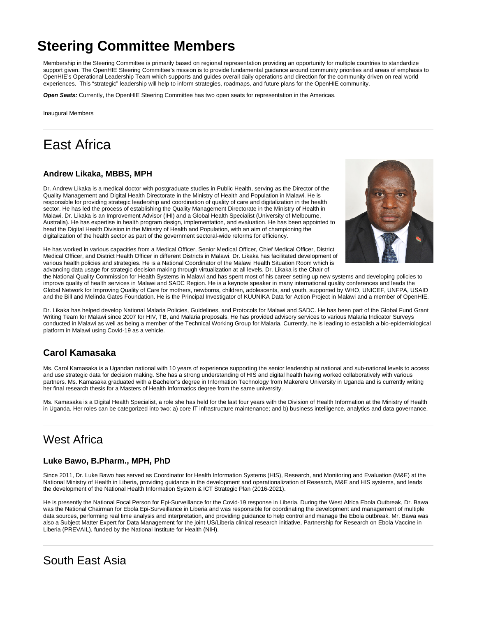# **Steering Committee Members**

Membership in the Steering Committee is primarily based on regional representation providing an opportunity for multiple countries to standardize support given. The OpenHIE Steering Committee's mission is to provide fundamental guidance around community priorities and areas of emphasis to OpenHIE's Operational Leadership Team which supports and guides overall daily operations and direction for the community driven on real world experiences. This "strategic" leadership will help to inform strategies, roadmaps, and future plans for the OpenHIE community.

**Open Seats:** Currently, the OpenHIE Steering Committee has two open seats for representation in the Americas.

Inaugural Members

## East Africa

#### **Andrew Likaka, MBBS, MPH**

Dr. Andrew Likaka is a medical doctor with postgraduate studies in Public Health, serving as the Director of the Quality Management and Digital Health Directorate in the Ministry of Health and Population in Malawi. He is responsible for providing strategic leadership and coordination of quality of care and digitalization in the health sector. He has led the process of establishing the Quality Management Directorate in the Ministry of Health in Malawi. Dr. Likaka is an Improvement Advisor (IHI) and a Global Health Specialist (University of Melbourne, Australia). He has expertise in health program design, implementation, and evaluation. He has been appointed to head the Digital Health Division in the Ministry of Health and Population, with an aim of championing the digitalization of the health sector as part of the government sectoral-wide reforms for efficiency.



He has worked in various capacities from a Medical Officer, Senior Medical Officer, Chief Medical Officer, District Medical Officer, and District Health Officer in different Districts in Malawi. Dr. Likaka has facilitated development of various health policies and strategies. He is a National Coordinator of the Malawi Health Situation Room which is advancing data usage for strategic decision making through virtualization at all levels. Dr. Likaka is the Chair of

the National Quality Commission for Health Systems in Malawi and has spent most of his career setting up new systems and developing policies to improve quality of health services in Malawi and SADC Region. He is a keynote speaker in many international quality conferences and leads the Global Network for Improving Quality of Care for mothers, newborns, children, adolescents, and youth, supported by WHO, UNICEF, UNFPA, USAID and the Bill and Melinda Gates Foundation. He is the Principal Investigator of KUUNIKA Data for Action Project in Malawi and a member of OpenHIE.

Dr. Likaka has helped develop National Malaria Policies, Guidelines, and Protocols for Malawi and SADC. He has been part of the Global Fund Grant Writing Team for Malawi since 2007 for HIV, TB, and Malaria proposals. He has provided advisory services to various Malaria Indicator Surveys conducted in Malawi as well as being a member of the Technical Working Group for Malaria. Currently, he is leading to establish a bio-epidemiological platform in Malawi using Covid-19 as a vehicle.

### **Carol Kamasaka**

Ms. Carol Kamasaka is a Ugandan national with 10 years of experience supporting the senior leadership at national and sub-national levels to access and use strategic data for decision making. She has a strong understanding of HIS and digital health having worked collaboratively with various partners. Ms. Kamasaka graduated with a Bachelor's degree in Information Technology from Makerere University in Uganda and is currently writing her final research thesis for a Masters of Health Informatics degree from the same university.

Ms. Kamasaka is a Digital Health Specialist, a role she has held for the last four years with the Division of Health Information at the Ministry of Health in Uganda. Her roles can be categorized into two: a) core IT infrastructure maintenance; and b) business intelligence, analytics and data governance.

## West Africa

#### **Luke Bawo, B.Pharm., MPH, PhD**

Since 2011, Dr. Luke Bawo has served as Coordinator for Health Information Systems (HIS), Research, and Monitoring and Evaluation (M&E) at the National Ministry of Health in Liberia, providing guidance in the development and operationalization of Research, M&E and HIS systems, and leads the development of the National Health Information System & ICT Strategic Plan (2016-2021).

He is presently the National Focal Person for Epi-Surveillance for the Covid-19 response in Liberia. During the West Africa Ebola Outbreak, Dr. Bawa was the National Chairman for Ebola Epi-Surveillance in Liberia and was responsible for coordinating the development and management of multiple data sources, performing real time analysis and interpretation, and providing guidance to help control and manage the Ebola outbreak. Mr. Bawa was also a Subject Matter Expert for Data Management for the joint US/Liberia clinical research initiative, Partnership for Research on Ebola Vaccine in Liberia (PREVAIL), funded by the National Institute for Health (NIH).

### South East Asia